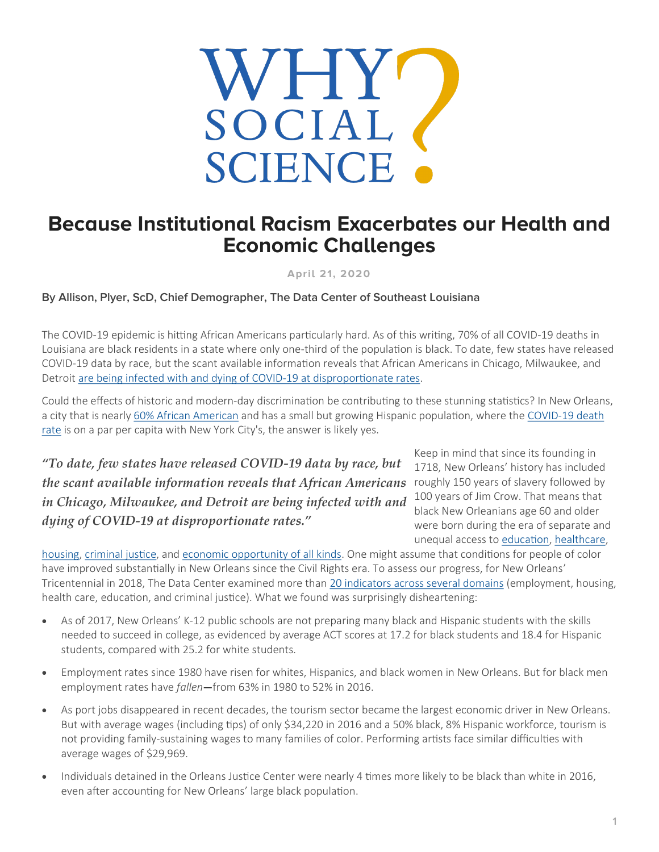

## **Because Institutional Racism Exacerbates our Health and Economic Challenges**

**April 21, 2020**

## **By Allison, Plyer, ScD, Chief Demographer, The Data Center of Southeast Louisiana**

The COVID-19 epidemic is hitting African Americans particularly hard. As of this writing, 70% of all COVID-19 deaths in Louisiana are black residents in a state where only one-third of the population is black. To date, few states have released COVID-19 data by race, but the scant available information reveals that African Americans in Chicago, Milwaukee, and Detroit [are being infected with and dying of COVID](https://www.nytimes.com/2020/04/07/us/coronavirus-race.html)-19 at disproportionate rates.

Could the effects of historic and modern-day discrimination be contributing to these stunning statistics? In New Orleans, a city that is nearly [60% African American](https://www.datacenterresearch.org/data-resources/who-lives-in-new-orleans-now/) and has a small but growing Hispanic population, where the COVID-[19 death](https://t.e2ma.net/message/a53shb/6dsewv)  [rate](https://t.e2ma.net/message/a53shb/6dsewv) is on a par per capita with New York City's, the answer is likely yes.

*"To date, few states have released COVID-19 data by race, but the scant available information reveals that African Americans in Chicago, Milwaukee, and Detroit are being infected with and dying of COVID-19 at disproportionate rates."*

Keep in mind that since its founding in 1718, New Orleans' history has included roughly 150 years of slavery followed by 100 years of Jim Crow. That means that black New Orleanians age 60 and older were born during the era of separate and unequal access to [education,](https://www.datacenterresearch.org/reports_analysis/new-orleans-public-schools-an-unrealized-democratic-ideal/) [healthcare,](https://www.datacenterresearch.org/reports_analysis/advancing-health-equity-in-new-orleans-building-on-positive-change-in-health/) 

[housing,](https://www.datacenterresearch.org/reports_analysis/rigging-the-real-estate-market-segregation-inequality-and-disaster-risk/) [criminal justice,](https://www.datacenterresearch.org/reports_analysis/from-bondage-to-bail-bonds-putting-a-price-on-freedom-in-new-orleans/) and [economic opportunity of all kinds.](https://www.lsu.edu/mediacenter/news/2015/03/01defyingjimcrow.eb.php) One might assume that conditions for people of color have improved substantially in New Orleans since the Civil Rights era. To assess our progress, for New Orleans' Tricentennial in 2018, The Data Center examined more than [20 indicators across several domains](https://www.datacenterresearch.org/reports_analysis/prosperity-index/) (employment, housing, health care, education, and criminal justice). What we found was surprisingly disheartening:

- As of 2017, New Orleans' K-12 public schools are not preparing many black and Hispanic students with the skills needed to succeed in college, as evidenced by average ACT scores at 17.2 for black students and 18.4 for Hispanic students, compared with 25.2 for white students.
- Employment rates since 1980 have risen for whites, Hispanics, and black women in New Orleans. But for black men employment rates have *fallen*—from 63% in 1980 to 52% in 2016.
- As port jobs disappeared in recent decades, the tourism sector became the largest economic driver in New Orleans. But with average wages (including tips) of only \$34,220 in 2016 and a 50% black, 8% Hispanic workforce, tourism is not providing family-sustaining wages to many families of color. Performing artists face similar difficulties with average wages of \$29,969.
- Individuals detained in the Orleans Justice Center were nearly 4 times more likely to be black than white in 2016, even after accounting for New Orleans' large black population.